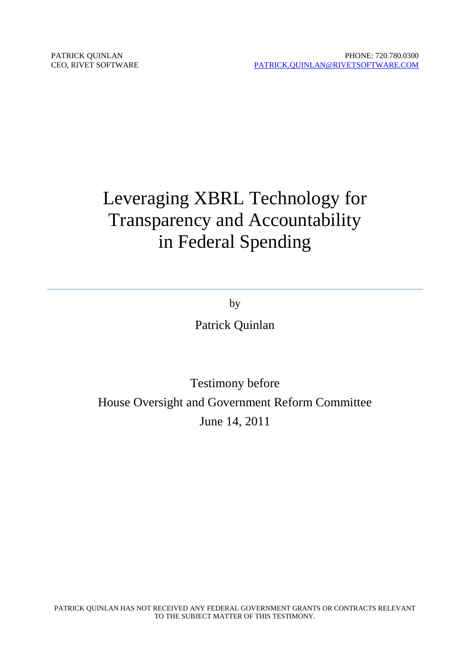# Leveraging XBRL Technology for Transparency and Accountability in Federal Spending

by

Patrick Quinlan

## Testimony before House Oversight and Government Reform Committee June 14, 2011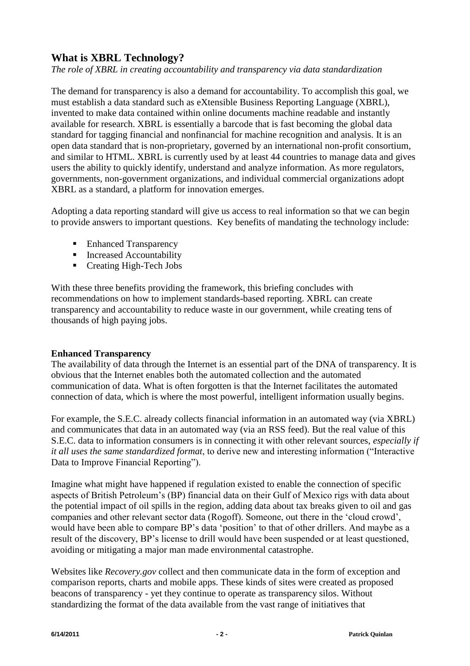### **What is XBRL Technology?**

*The role of XBRL in creating accountability and transparency via data standardization*

The demand for transparency is also a demand for accountability. To accomplish this goal, we must establish a data standard such as eXtensible Business Reporting Language (XBRL), invented to make data contained within online documents machine readable and instantly available for research. XBRL is essentially a barcode that is fast becoming the global data standard for tagging financial and nonfinancial for machine recognition and analysis. It is an open data standard that is non-proprietary, governed by an international non-profit consortium, and similar to HTML. XBRL is currently used by at least 44 countries to manage data and gives users the ability to quickly identify, understand and analyze information. As more regulators, governments, non-government organizations, and individual commercial organizations adopt XBRL as a standard, a platform for innovation emerges.

Adopting a data reporting standard will give us access to real information so that we can begin to provide answers to important questions. Key benefits of mandating the technology include:

- Enhanced Transparency
- Increased Accountability
- Creating High-Tech Jobs

With these three benefits providing the framework, this briefing concludes with recommendations on how to implement standards-based reporting. XBRL can create transparency and accountability to reduce waste in our government, while creating tens of thousands of high paying jobs.

#### **Enhanced Transparency**

The availability of data through the Internet is an essential part of the DNA of transparency. It is obvious that the Internet enables both the automated collection and the automated communication of data. What is often forgotten is that the Internet facilitates the automated connection of data, which is where the most powerful, intelligent information usually begins.

For example, the S.E.C. already collects financial information in an automated way (via XBRL) and communicates that data in an automated way (via an RSS feed). But the real value of this S.E.C. data to information consumers is in connecting it with other relevant sources, *especially if it all uses the same standardized format*, to derive new and interesting information ("Interactive Data to Improve Financial Reporting").

Imagine what might have happened if regulation existed to enable the connection of specific aspects of British Petroleum's (BP) financial data on their Gulf of Mexico rigs with data about the potential impact of oil spills in the region, adding data about tax breaks given to oil and gas companies and other relevant sector data (Rogoff). Someone, out there in the 'cloud crowd', would have been able to compare BP's data 'position' to that of other drillers. And maybe as a result of the discovery, BP's license to drill would have been suspended or at least questioned, avoiding or mitigating a major man made environmental catastrophe.

Websites like *Recovery.gov* collect and then communicate data in the form of exception and comparison reports, charts and mobile apps. These kinds of sites were created as proposed beacons of transparency - yet they continue to operate as transparency silos. Without standardizing the format of the data available from the vast range of initiatives that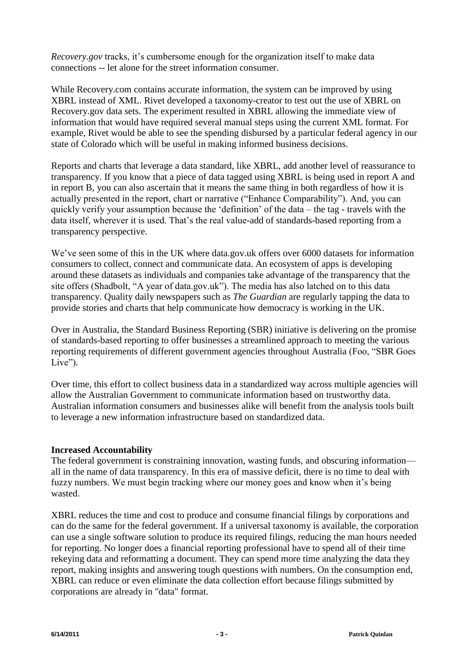*Recovery.gov* tracks, it's cumbersome enough for the organization itself to make data connections -- let alone for the street information consumer.

While Recovery.com contains accurate information, the system can be improved by using XBRL instead of XML. Rivet developed a taxonomy-creator to test out the use of XBRL on Recovery.gov data sets. The experiment resulted in XBRL allowing the immediate view of information that would have required several manual steps using the current XML format. For example, Rivet would be able to see the spending disbursed by a particular federal agency in our state of Colorado which will be useful in making informed business decisions.

Reports and charts that leverage a data standard, like XBRL, add another level of reassurance to transparency. If you know that a piece of data tagged using XBRL is being used in report A and in report B, you can also ascertain that it means the same thing in both regardless of how it is actually presented in the report, chart or narrative ("Enhance Comparability"). And, you can quickly verify your assumption because the 'definition' of the data – the tag - travels with the data itself, wherever it is used. That's the real value-add of standards-based reporting from a transparency perspective.

We've seen some of this in the UK where data.gov.uk offers over 6000 datasets for information consumers to collect, connect and communicate data. An ecosystem of apps is developing around these datasets as individuals and companies take advantage of the transparency that the site offers (Shadbolt, "A year of data.gov.uk"). The media has also latched on to this data transparency. Quality daily newspapers such as *The Guardian* are regularly tapping the data to provide stories and charts that help communicate how democracy is working in the UK.

Over in Australia, the Standard Business Reporting (SBR) initiative is delivering on the promise of standards-based reporting to offer businesses a streamlined approach to meeting the various reporting requirements of different government agencies throughout Australia (Foo, "SBR Goes Live").

Over time, this effort to collect business data in a standardized way across multiple agencies will allow the Australian Government to communicate information based on trustworthy data. Australian information consumers and businesses alike will benefit from the analysis tools built to leverage a new information infrastructure based on standardized data.

#### **Increased Accountability**

The federal government is constraining innovation, wasting funds, and obscuring information all in the name of data transparency. In this era of massive deficit, there is no time to deal with fuzzy numbers. We must begin tracking where our money goes and know when it's being wasted.

XBRL reduces the time and cost to produce and consume financial filings by corporations and can do the same for the federal government. If a universal taxonomy is available, the corporation can use a single software solution to produce its required filings, reducing the man hours needed for reporting. No longer does a financial reporting professional have to spend all of their time rekeying data and reformatting a document. They can spend more time analyzing the data they report, making insights and answering tough questions with numbers. On the consumption end, XBRL can reduce or even eliminate the data collection effort because filings submitted by corporations are already in "data" format.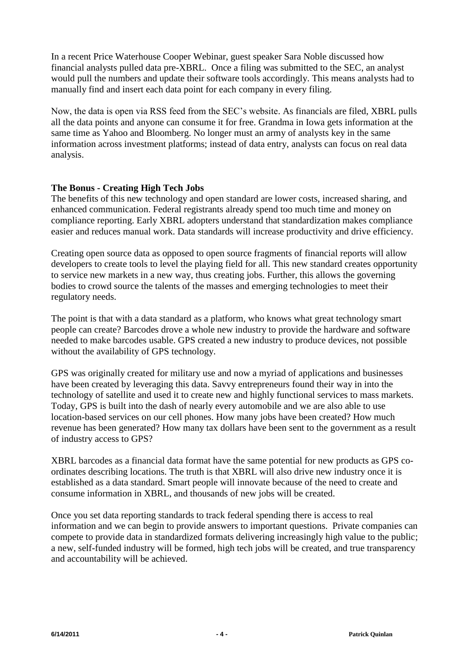In a recent Price Waterhouse Cooper Webinar, guest speaker Sara Noble discussed how financial analysts pulled data pre-XBRL. Once a filing was submitted to the SEC, an analyst would pull the numbers and update their software tools accordingly. This means analysts had to manually find and insert each data point for each company in every filing.

Now, the data is open via RSS feed from the SEC's website. As financials are filed, XBRL pulls all the data points and anyone can consume it for free. Grandma in Iowa gets information at the same time as Yahoo and Bloomberg. No longer must an army of analysts key in the same information across investment platforms; instead of data entry, analysts can focus on real data analysis.

#### **The Bonus - Creating High Tech Jobs**

The benefits of this new technology and open standard are lower costs, increased sharing, and enhanced communication. Federal registrants already spend too much time and money on compliance reporting. Early XBRL adopters understand that standardization makes compliance easier and reduces manual work. Data standards will increase productivity and drive efficiency.

Creating open source data as opposed to open source fragments of financial reports will allow developers to create tools to level the playing field for all. This new standard creates opportunity to service new markets in a new way, thus creating jobs. Further, this allows the governing bodies to crowd source the talents of the masses and emerging technologies to meet their regulatory needs.

The point is that with a data standard as a platform, who knows what great technology smart people can create? Barcodes drove a whole new industry to provide the hardware and software needed to make barcodes usable. GPS created a new industry to produce devices, not possible without the availability of GPS technology.

GPS was originally created for military use and now a myriad of applications and businesses have been created by leveraging this data. Savvy entrepreneurs found their way in into the technology of satellite and used it to create new and highly functional services to mass markets. Today, GPS is built into the dash of nearly every automobile and we are also able to use location-based services on our cell phones. How many jobs have been created? How much revenue has been generated? How many tax dollars have been sent to the government as a result of industry access to GPS?

XBRL barcodes as a financial data format have the same potential for new products as GPS coordinates describing locations. The truth is that XBRL will also drive new industry once it is established as a data standard. Smart people will innovate because of the need to create and consume information in XBRL, and thousands of new jobs will be created.

Once you set data reporting standards to track federal spending there is access to real information and we can begin to provide answers to important questions. Private companies can compete to provide data in standardized formats delivering increasingly high value to the public; a new, self-funded industry will be formed, high tech jobs will be created, and true transparency and accountability will be achieved.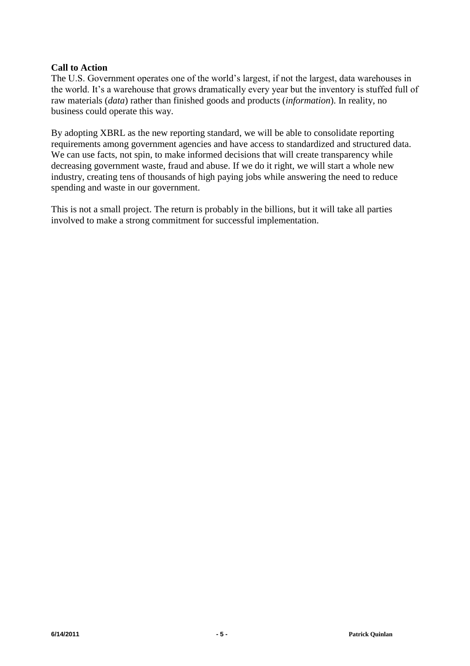#### **Call to Action**

The U.S. Government operates one of the world's largest, if not the largest, data warehouses in the world. It's a warehouse that grows dramatically every year but the inventory is stuffed full of raw materials (*data*) rather than finished goods and products (*information*). In reality, no business could operate this way.

By adopting XBRL as the new reporting standard, we will be able to consolidate reporting requirements among government agencies and have access to standardized and structured data. We can use facts, not spin, to make informed decisions that will create transparency while decreasing government waste, fraud and abuse. If we do it right, we will start a whole new industry, creating tens of thousands of high paying jobs while answering the need to reduce spending and waste in our government.

This is not a small project. The return is probably in the billions, but it will take all parties involved to make a strong commitment for successful implementation.